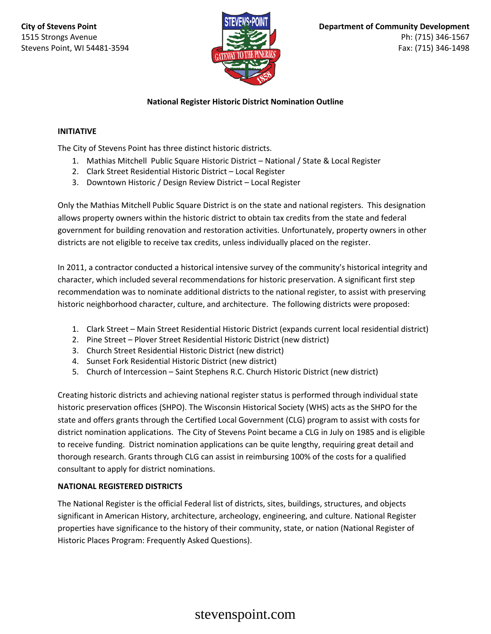

# **National Register Historic District Nomination Outline**

### **INITIATIVE**

The City of Stevens Point has three distinct historic districts.

- 1. Mathias Mitchell Public Square Historic District National / State & Local Register
- 2. Clark Street Residential Historic District Local Register
- 3. Downtown Historic / Design Review District Local Register

Only the Mathias Mitchell Public Square District is on the state and national registers. This designation allows property owners within the historic district to obtain tax credits from the state and federal government for building renovation and restoration activities. Unfortunately, property owners in other districts are not eligible to receive tax credits, unless individually placed on the register.

In 2011, a contractor conducted a historical intensive survey of the community's historical integrity and character, which included several recommendations for historic preservation. A significant first step recommendation was to nominate additional districts to the national register, to assist with preserving historic neighborhood character, culture, and architecture. The following districts were proposed:

- 1. Clark Street Main Street Residential Historic District (expands current local residential district)
- 2. Pine Street Plover Street Residential Historic District (new district)
- 3. Church Street Residential Historic District (new district)
- 4. Sunset Fork Residential Historic District (new district)
- 5. Church of Intercession Saint Stephens R.C. Church Historic District (new district)

Creating historic districts and achieving national register status is performed through individual state historic preservation offices (SHPO). The Wisconsin Historical Society (WHS) acts as the SHPO for the state and offers grants through the Certified Local Government (CLG) program to assist with costs for district nomination applications. The City of Stevens Point became a CLG in July on 1985 and is eligible to receive funding. District nomination applications can be quite lengthy, requiring great detail and thorough research. Grants through CLG can assist in reimbursing 100% of the costs for a qualified consultant to apply for district nominations.

### **NATIONAL REGISTERED DISTRICTS**

The National Register is the official Federal list of districts, sites, buildings, structures, and objects significant in American History, architecture, archeology, engineering, and culture. National Register properties have significance to the history of their community, state, or nation (National Register of Historic Places Program: Frequently Asked Questions).

# stevenspoint.com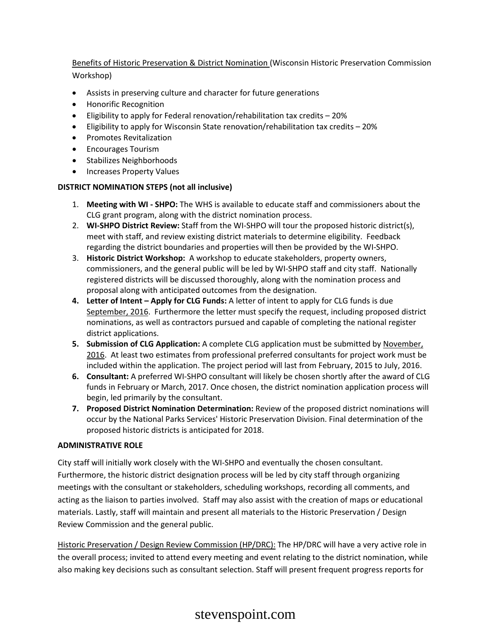# Benefits of Historic Preservation & District Nomination (Wisconsin Historic Preservation Commission Workshop)

- Assists in preserving culture and character for future generations
- Honorific Recognition
- Eligibility to apply for Federal renovation/rehabilitation tax credits 20%
- Eligibility to apply for Wisconsin State renovation/rehabilitation tax credits 20%
- Promotes Revitalization
- Encourages Tourism
- Stabilizes Neighborhoods
- Increases Property Values

#### **DISTRICT NOMINATION STEPS (not all inclusive)**

- 1. **Meeting with WI - SHPO:** The WHS is available to educate staff and commissioners about the CLG grant program, along with the district nomination process.
- 2. **WI-SHPO District Review:** Staff from the WI-SHPO will tour the proposed historic district(s), meet with staff, and review existing district materials to determine eligibility. Feedback regarding the district boundaries and properties will then be provided by the WI-SHPO.
- 3. **Historic District Workshop:** A workshop to educate stakeholders, property owners, commissioners, and the general public will be led by WI-SHPO staff and city staff. Nationally registered districts will be discussed thoroughly, along with the nomination process and proposal along with anticipated outcomes from the designation.
- **4. Letter of Intent – Apply for CLG Funds:** A letter of intent to apply for CLG funds is due September, 2016. Furthermore the letter must specify the request, including proposed district nominations, as well as contractors pursued and capable of completing the national register district applications.
- **5. Submission of CLG Application:** A complete CLG application must be submitted by November, 2016. At least two estimates from professional preferred consultants for project work must be included within the application. The project period will last from February, 2015 to July, 2016.
- **6. Consultant:** A preferred WI-SHPO consultant will likely be chosen shortly after the award of CLG funds in February or March, 2017. Once chosen, the district nomination application process will begin, led primarily by the consultant.
- **7. Proposed District Nomination Determination:** Review of the proposed district nominations will occur by the National Parks Services' Historic Preservation Division. Final determination of the proposed historic districts is anticipated for 2018.

#### **ADMINISTRATIVE ROLE**

City staff will initially work closely with the WI-SHPO and eventually the chosen consultant. Furthermore, the historic district designation process will be led by city staff through organizing meetings with the consultant or stakeholders, scheduling workshops, recording all comments, and acting as the liaison to parties involved. Staff may also assist with the creation of maps or educational materials. Lastly, staff will maintain and present all materials to the Historic Preservation / Design Review Commission and the general public.

Historic Preservation / Design Review Commission (HP/DRC): The HP/DRC will have a very active role in the overall process; invited to attend every meeting and event relating to the district nomination, while also making key decisions such as consultant selection. Staff will present frequent progress reports for

# stevenspoint.com